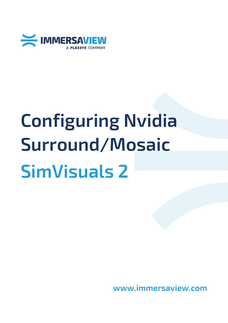

# **Configuring Nvidia Surround/Mosaic SimVisuals 2**

**www.immersaview.com**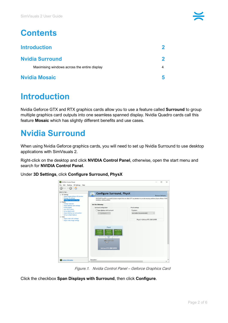| <b>Introduction</b>                          |  |
|----------------------------------------------|--|
| <b>Nvidia Surround</b>                       |  |
| Maximising windows across the entire display |  |
| <b>Nvidia Mosaic</b>                         |  |

## <span id="page-1-0"></span>**Introduction**

Nvidia Geforce GTX and RTX graphics cards allow you to use a feature called **Surround** to group multiple graphics card outputs into one seamless spanned display. Nvidia Quadro cards call this feature **Mosaic** which has slightly different benefits and use cases.

## <span id="page-1-1"></span>**Nvidia Surround**

When using Nvidia Geforce graphics cards, you will need to set up Nvidia Surround to use desktop applications with SimVisuals 2.

Right-click on the desktop and click **NVIDIA Control Panel**, otherwise, open the start menu and search for **NVIDIA Control Panel**.

Under **3D Settings**, click **Configure Surround, PhysX**



Figure.1. Nvidia Control Panel – Geforce Graphics Card

Click the checkbox **Span Displays with Surround**, then click **Configure**.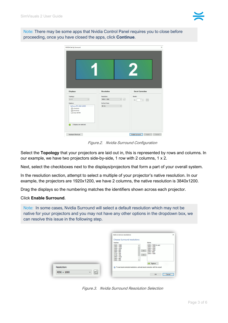

Note: There may be some apps that Nvidia Control Panel requires you to close before proceeding, once you have closed the apps, click **Continue**.

| <b>NVIDIA Set Up Surround</b><br>1                                                                                                                                                   |                                                                                                                            | $\times$<br>$\overline{\mathbf{2}}$                                      |
|--------------------------------------------------------------------------------------------------------------------------------------------------------------------------------------|----------------------------------------------------------------------------------------------------------------------------|--------------------------------------------------------------------------|
| <b>Displays</b><br>Topology:<br>$1 \times 2$<br>$\checkmark$<br>Displays:<br>GeForce RTX 2060 SUPER<br>□ 1.FL40-WU<br><b>⊠2.FL40-WU</b><br>3. Acer B273H<br>2 Displays are selected. | <b>Resolution</b><br>Resolution:<br>$\vee$ $\boxed{E_1^2}$<br>$4096 \times 1080$<br>Refresh Rate:<br>48 Hz<br>$\checkmark$ | <b>Bezel Correction</b><br>Bezels:<br>$0 \div$<br> oo <br>V <sub>1</sub> |

Figure.2. Nvidia Surround Configuration

Select the **Topology** that your projectors are laid out in, this is represented by rows and columns. In our example, we have two projectors side-by-side, 1 row with 2 columns, 1 x 2.

Next, select the checkboxes next to the displays/projectors that form a part of your overall system.

In the resolution section, attempt to select a multiple of your projector's native resolution. In our example, the projectors are 1920x1200, we have 2 columns, the native resolution is 3840x1200.

Drag the displays so the numbering matches the identifiers shown across each projector.

#### Click **Enable Surround**.

Note: In some cases, Nvidia Surround will select a default resolution which may not be native for your projectors and you may not have any other options in the dropdown box, we can resolve this issue in the following step.

|                         | Add or remove resolutions                                                                                                                                                                                                                                                                                                                                                           |  |
|-------------------------|-------------------------------------------------------------------------------------------------------------------------------------------------------------------------------------------------------------------------------------------------------------------------------------------------------------------------------------------------------------------------------------|--|
|                         | <b>Choose Surround resolutions</b>                                                                                                                                                                                                                                                                                                                                                  |  |
|                         | Active:<br>Inactive:                                                                                                                                                                                                                                                                                                                                                                |  |
|                         | 3840 × 1080<br>4096 × 1080 (in use)<br>$3840 \times 1200$<br>$3360 \times 1050$<br>$3200 \times 1024$<br>$3200 \times 1200$<br>$3200 \times 900$<br>$2800 \times 1050$<br>$\rightarrow$<br>$2304 \times 864$<br>2880 × 900<br>$2732 \times 768$<br>$2048 \times 1080$<br>$\leftarrow$<br>$2720 \times 768$<br>2560 × 1024<br>$2560 \times 960$<br>$2560 \times 800$<br>$\checkmark$ |  |
|                         | Restore                                                                                                                                                                                                                                                                                                                                                                             |  |
| Resolution:             | (i) To see bezel-corrected resolutions, activate bezel correction with the wizard.                                                                                                                                                                                                                                                                                                  |  |
| 喆<br>$4096 \times 1080$ |                                                                                                                                                                                                                                                                                                                                                                                     |  |
|                         | OK<br>Cancel                                                                                                                                                                                                                                                                                                                                                                        |  |

Figure.3. Nvidia Surround Resolution Selection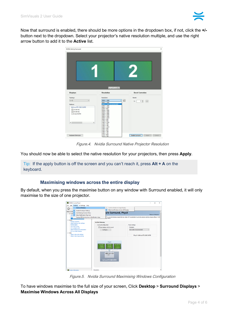

Now that surround is enabled, there should be more options in the dropdown box, if not, click the **+/** button next to the dropdown. Select your projector's native resolution multiple, and use the right arrow button to add it to the **Active** list.

| NVIDIA Set Up Surround                                                                                                                                                                      |                                                                                                                                                                                                                                                                                                                                                                                                                                                                                                      | $\times$                                |
|---------------------------------------------------------------------------------------------------------------------------------------------------------------------------------------------|------------------------------------------------------------------------------------------------------------------------------------------------------------------------------------------------------------------------------------------------------------------------------------------------------------------------------------------------------------------------------------------------------------------------------------------------------------------------------------------------------|-----------------------------------------|
|                                                                                                                                                                                             | Surround is enabled                                                                                                                                                                                                                                                                                                                                                                                                                                                                                  | $\overline{\mathbf{2}}$                 |
| <b>Displays</b>                                                                                                                                                                             | <b>Resolution</b>                                                                                                                                                                                                                                                                                                                                                                                                                                                                                    | <b>Bezel Correction</b>                 |
| Topology:<br>$1 \times 2$<br>$\checkmark$<br>Displays:<br>GeForce RTX 2060 SUPER<br><b>2</b> 1.FL40-WU<br><b>2.FL40-WU</b><br>3. Acer B273H<br>$\left\langle \right\rangle$<br>$\mathbf{r}$ | Resolution:<br>屆<br>$4096 \times 1080$<br>$4096 \times 1080$<br>$3840 \times 1200$ (recommended)<br>$3200 \times 1200$<br>$2800 \times 1050$<br>$2304 \times 864$<br>$2048 \times 1080$<br>$1920 \times 1200$<br>$1920 \times 1080$<br>$1680 \times 1050$<br>$1600 \times 1200$<br>$1600 \times 1024$<br>$1600 \times 900$<br>$1440 \times 900$<br>$1400 \times 1050$<br>$1366 \times 768$<br>$1360 \times 768$<br>$1280 \times 1024$<br>$1280 \times 960$<br>$1280 \times 800$<br>$1280 \times 768$ | Bezels:<br>$0\frac{1}{x}$<br> oo <br>V1 |
| Keyboard Shortcuts                                                                                                                                                                          | $1280 \times 720$<br>$1152 \times 864$<br>$1024 \times 768$                                                                                                                                                                                                                                                                                                                                                                                                                                          | Disable Surround<br>Cancel<br>Apply     |

Figure.4. Nvidia Surround Native Projector Resolution

You should now be able to select the native resolution for your projectors, then press **Apply**.

Tip: If the apply button is off the screen and you can't reach it, press **Alt + A** on the keyboard.

### **Maximising windows across the entire display**

<span id="page-3-0"></span>By default, when you press the maximise button on any window with Surround enabled, it will only maximise to the size of one projector.

| <b>Surround Displays</b><br>Confine Taskbar to Single Display<br>$\checkmark$<br>Back<br>Maximize Windows Across All Displays<br><b>Enable Developer Settings</b><br>۸<br>ure Surround, PhysX<br>Add Desktop Context Menu<br><b>Restore Defaults</b><br>Show Notification Tray Icon<br>-Adju<br>-Man<br>K® is a powerful physics engine that can utilize GPU acceleration to provide amazing real-time physics effects. NVID<br>Display GPU Activity Icon in Notification Area<br>ha surface.<br>w<br>Change resolution<br><b>Set the following:</b><br>Adjust desktop color settings<br>Rotate display<br>Surround configuration<br>PhysX settings<br><b>View HDCP status</b><br>Span displays with Surround<br>Processor:<br>Set up digital audio<br>-Adjust desktop size and position<br>Auto-select (recommended)<br>Configure<br>$\ddot{}$<br>-Set up multiple displays<br>-Adjust video color settings<br>PhysX > GeForce RTX 2060 SUPER<br>-Adjust video image settings<br>PhysX<br><b>Acer B273H</b><br>FL40-WU<br>FL40-WU<br>2e(2)<br>[1ot 2]<br>---<br>Fiin<br>GeForce RTX 2060 SUPER | NVIDIA Control Panel<br>Desktop 3D Settings Help<br>File Edit          | $\Box$ | $\times$ |
|-------------------------------------------------------------------------------------------------------------------------------------------------------------------------------------------------------------------------------------------------------------------------------------------------------------------------------------------------------------------------------------------------------------------------------------------------------------------------------------------------------------------------------------------------------------------------------------------------------------------------------------------------------------------------------------------------------------------------------------------------------------------------------------------------------------------------------------------------------------------------------------------------------------------------------------------------------------------------------------------------------------------------------------------------------------------------------------------------|------------------------------------------------------------------------|--------|----------|
|                                                                                                                                                                                                                                                                                                                                                                                                                                                                                                                                                                                                                                                                                                                                                                                                                                                                                                                                                                                                                                                                                                 | G<br>Select a Task<br><b>⊞</b> -3D Settl<br><b>Display</b><br>in-Video |        |          |
|                                                                                                                                                                                                                                                                                                                                                                                                                                                                                                                                                                                                                                                                                                                                                                                                                                                                                                                                                                                                                                                                                                 |                                                                        |        |          |

Figure.5. Nvidia Surround Maximising Windows Configuration

To have windows maximise to the full size of your screen, Click **Desktop** > **Surround Displays** > **Maximise Windows Across All Displays**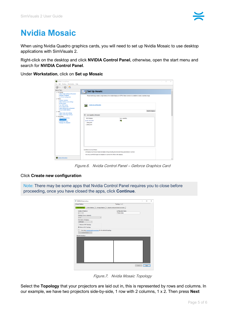## <span id="page-4-0"></span>**Nvidia Mosaic**

When using Nvidia Quadro graphics cards, you will need to set up Nvidia Mosaic to use desktop applications with SimVisuals 2.

Right-click on the desktop and click **NVIDIA Control Panel**, otherwise, open the start menu and search for **NVIDIA Control Panel**.

Under **Workstation**, click on **Set up Mosaic**

| NVIDIA Control Panel                                                                                                                                                              |                                                                                                                                            |                      |                          | $\sim$ | $\Box$ | $\times$            |
|-----------------------------------------------------------------------------------------------------------------------------------------------------------------------------------|--------------------------------------------------------------------------------------------------------------------------------------------|----------------------|--------------------------|--------|--------|---------------------|
| File Edit Desktop Workstation Help                                                                                                                                                |                                                                                                                                            |                      |                          |        |        |                     |
| .  10 <del>0</del>                                                                                                                                                                |                                                                                                                                            |                      |                          |        |        |                     |
| Select a Task                                                                                                                                                                     | <b>Set Up Mosaic</b>                                                                                                                       |                      |                          |        |        | $\hat{\phantom{a}}$ |
| E-3D Settings<br>-Adjust image settings with preview<br>-Manage 3D settings<br>-Set PhysX Configuration<br><b>Display</b><br>-Change resolution<br>-Adjust desktop color settings | Mosaic technology creates a single desktop from multiple displays and GPUs. Bezel correction is available to create a seamless image.      |                      |                          |        |        |                     |
| -Rotate display<br>-View HDCP status<br>-Set up digital audio<br>-Adjust desktop size and position<br>-Set up multiple displays                                                   | Create new configuration<br><b>AND</b>                                                                                                     |                      |                          |        |        |                     |
| i Video                                                                                                                                                                           |                                                                                                                                            |                      | <b>Identify displays</b> |        |        |                     |
| -Adjust video color settings<br>Adjust video image settings                                                                                                                       |                                                                                                                                            |                      |                          |        |        |                     |
| Workstation                                                                                                                                                                       | Sync Capability Information                                                                                                                |                      |                          |        |        |                     |
| -View system topology<br>Set up Mosaic<br>-Change ECC state<br>Manage GPU Utilization                                                                                             | GPU/Displays<br>Quadro RTX 5000<br>1. BenQ GP3<br>2. BenQ GP3                                                                              | Sync capability<br>刪 |                          |        |        |                     |
|                                                                                                                                                                                   |                                                                                                                                            |                      |                          |        |        |                     |
|                                                                                                                                                                                   | Conditions to set up Mosaic:<br>. All displays must have at least one display timing (including all advanced timing parameters) in common. |                      |                          |        |        |                     |
|                                                                                                                                                                                   | . You may use NVIDIA approved adaptors to connect the GPUs to the displays.                                                                |                      |                          |        |        |                     |
| System Information                                                                                                                                                                |                                                                                                                                            |                      |                          |        |        |                     |

Figure.6. Nvidia Control Panel – Geforce Graphics Card

#### Click **Create new configuration**

Note: There may be some apps that Nvidia Control Panel requires you to close before proceeding, once you have closed the apps, click **Continue**.

| NVIDIA Mosaic set up                                                                             |                                    |             | $\Box$ | $\times$ |
|--------------------------------------------------------------------------------------------------|------------------------------------|-------------|--------|----------|
| Mosaic Displays                                                                                  | Topology: 1 x 2                    |             |        |          |
| 1. Select topology 2. Select displays 3. Arrange displays 4. Adjust overlap and bezel correction |                                    |             |        |          |
| Number of displays:<br>$2^{\circ}$                                                               | Configuration Name<br>Mosaic setup |             |        |          |
| $\checkmark$                                                                                     |                                    |             |        |          |
| Topology (rows x columns):<br>$1 \times 2$<br>$\vee$                                             |                                    |             |        |          |
| <b>Orientation of displays:</b>                                                                  |                                    |             |        |          |
| $\checkmark$<br>Landscape                                                                        |                                    |             |        |          |
|                                                                                                  |                                    |             |        |          |
| Maximum GPU Topology                                                                             |                                    |             |        |          |
| (e) Minimum GPU Topology                                                                         |                                    |             |        |          |
| I am using recommended connections for the selected topology.                                    |                                    |             |        |          |
| Enable Mosaic                                                                                    |                                    |             |        |          |
| Selected topology:                                                                               |                                    |             |        |          |
|                                                                                                  |                                    |             |        |          |
|                                                                                                  |                                    |             |        |          |
|                                                                                                  |                                    |             |        |          |
|                                                                                                  |                                    |             |        |          |
|                                                                                                  |                                    |             |        |          |
|                                                                                                  |                                    |             |        |          |
|                                                                                                  |                                    |             |        |          |
|                                                                                                  |                                    |             |        |          |
|                                                                                                  |                                    |             |        |          |
|                                                                                                  |                                    |             |        |          |
|                                                                                                  |                                    |             |        |          |
|                                                                                                  |                                    |             |        |          |
|                                                                                                  |                                    | <b>Back</b> | Next   |          |
|                                                                                                  |                                    |             |        |          |

Figure.7. Nvidia Mosaic Topology

Select the **Topology** that your projectors are laid out in, this is represented by rows and columns. In our example, we have two projectors side-by-side, 1 row with 2 columns, 1 x 2. Then press **Next**